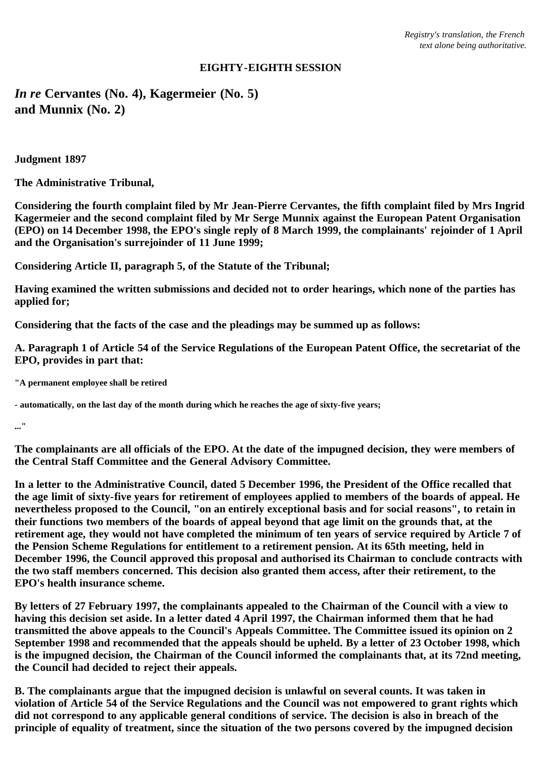# **EIGHTY-EIGHTH SESSION**

*In re* **Cervantes (No. 4), Kagermeier (No. 5) and Munnix (No. 2)**

**Judgment 1897**

**The Administrative Tribunal,**

**Considering the fourth complaint filed by Mr Jean-Pierre Cervantes, the fifth complaint filed by Mrs Ingrid Kagermeier and the second complaint filed by Mr Serge Munnix against the European Patent Organisation (EPO) on 14 December 1998, the EPO's single reply of 8 March 1999, the complainants' rejoinder of 1 April and the Organisation's surrejoinder of 11 June 1999;**

**Considering Article II, paragraph 5, of the Statute of the Tribunal;**

**Having examined the written submissions and decided not to order hearings, which none of the parties has applied for;**

**Considering that the facts of the case and the pleadings may be summed up as follows:**

**A. Paragraph 1 of Article 54 of the Service Regulations of the European Patent Office, the secretariat of the EPO, provides in part that:**

**"A permanent employee shall be retired**

**- automatically, on the last day of the month during which he reaches the age of sixty-five years;**

**..."**

**The complainants are all officials of the EPO. At the date of the impugned decision, they were members of the Central Staff Committee and the General Advisory Committee.**

**In a letter to the Administrative Council, dated 5 December 1996, the President of the Office recalled that the age limit of sixty-five years for retirement of employees applied to members of the boards of appeal. He nevertheless proposed to the Council, "on an entirely exceptional basis and for social reasons", to retain in their functions two members of the boards of appeal beyond that age limit on the grounds that, at the retirement age, they would not have completed the minimum of ten years of service required by Article 7 of the Pension Scheme Regulations for entitlement to a retirement pension. At its 65th meeting, held in December 1996, the Council approved this proposal and authorised its Chairman to conclude contracts with the two staff members concerned. This decision also granted them access, after their retirement, to the EPO's health insurance scheme.**

**By letters of 27 February 1997, the complainants appealed to the Chairman of the Council with a view to having this decision set aside. In a letter dated 4 April 1997, the Chairman informed them that he had transmitted the above appeals to the Council's Appeals Committee. The Committee issued its opinion on 2 September 1998 and recommended that the appeals should be upheld. By a letter of 23 October 1998, which is the impugned decision, the Chairman of the Council informed the complainants that, at its 72nd meeting, the Council had decided to reject their appeals.**

**B. The complainants argue that the impugned decision is unlawful on several counts. It was taken in violation of Article 54 of the Service Regulations and the Council was not empowered to grant rights which did not correspond to any applicable general conditions of service. The decision is also in breach of the principle of equality of treatment, since the situation of the two persons covered by the impugned decision**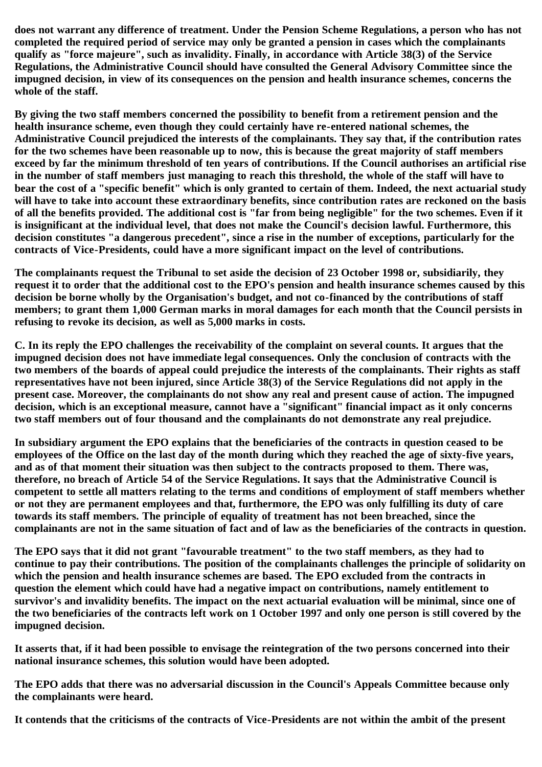**does not warrant any difference of treatment. Under the Pension Scheme Regulations, a person who has not completed the required period of service may only be granted a pension in cases which the complainants qualify as "force majeure", such as invalidity. Finally, in accordance with Article 38(3) of the Service Regulations, the Administrative Council should have consulted the General Advisory Committee since the impugned decision, in view of its consequences on the pension and health insurance schemes, concerns the whole of the staff.**

**By giving the two staff members concerned the possibility to benefit from a retirement pension and the health insurance scheme, even though they could certainly have re-entered national schemes, the Administrative Council prejudiced the interests of the complainants. They say that, if the contribution rates for the two schemes have been reasonable up to now, this is because the great majority of staff members exceed by far the minimum threshold of ten years of contributions. If the Council authorises an artificial rise in the number of staff members just managing to reach this threshold, the whole of the staff will have to bear the cost of a "specific benefit" which is only granted to certain of them. Indeed, the next actuarial study will have to take into account these extraordinary benefits, since contribution rates are reckoned on the basis of all the benefits provided. The additional cost is "far from being negligible" for the two schemes. Even if it is insignificant at the individual level, that does not make the Council's decision lawful. Furthermore, this decision constitutes "a dangerous precedent", since a rise in the number of exceptions, particularly for the contracts of Vice-Presidents, could have a more significant impact on the level of contributions.**

**The complainants request the Tribunal to set aside the decision of 23 October 1998 or, subsidiarily, they request it to order that the additional cost to the EPO's pension and health insurance schemes caused by this decision be borne wholly by the Organisation's budget, and not co-financed by the contributions of staff members; to grant them 1,000 German marks in moral damages for each month that the Council persists in refusing to revoke its decision, as well as 5,000 marks in costs.**

**C. In its reply the EPO challenges the receivability of the complaint on several counts. It argues that the impugned decision does not have immediate legal consequences. Only the conclusion of contracts with the two members of the boards of appeal could prejudice the interests of the complainants. Their rights as staff representatives have not been injured, since Article 38(3) of the Service Regulations did not apply in the present case. Moreover, the complainants do not show any real and present cause of action. The impugned decision, which is an exceptional measure, cannot have a "significant" financial impact as it only concerns two staff members out of four thousand and the complainants do not demonstrate any real prejudice.**

**In subsidiary argument the EPO explains that the beneficiaries of the contracts in question ceased to be employees of the Office on the last day of the month during which they reached the age of sixty-five years, and as of that moment their situation was then subject to the contracts proposed to them. There was, therefore, no breach of Article 54 of the Service Regulations. It says that the Administrative Council is competent to settle all matters relating to the terms and conditions of employment of staff members whether or not they are permanent employees and that, furthermore, the EPO was only fulfilling its duty of care towards its staff members. The principle of equality of treatment has not been breached, since the complainants are not in the same situation of fact and of law as the beneficiaries of the contracts in question.**

**The EPO says that it did not grant "favourable treatment" to the two staff members, as they had to continue to pay their contributions. The position of the complainants challenges the principle of solidarity on which the pension and health insurance schemes are based. The EPO excluded from the contracts in question the element which could have had a negative impact on contributions, namely entitlement to survivor's and invalidity benefits. The impact on the next actuarial evaluation will be minimal, since one of the two beneficiaries of the contracts left work on 1 October 1997 and only one person is still covered by the impugned decision.**

**It asserts that, if it had been possible to envisage the reintegration of the two persons concerned into their national insurance schemes, this solution would have been adopted.**

**The EPO adds that there was no adversarial discussion in the Council's Appeals Committee because only the complainants were heard.**

**It contends that the criticisms of the contracts of Vice-Presidents are not within the ambit of the present**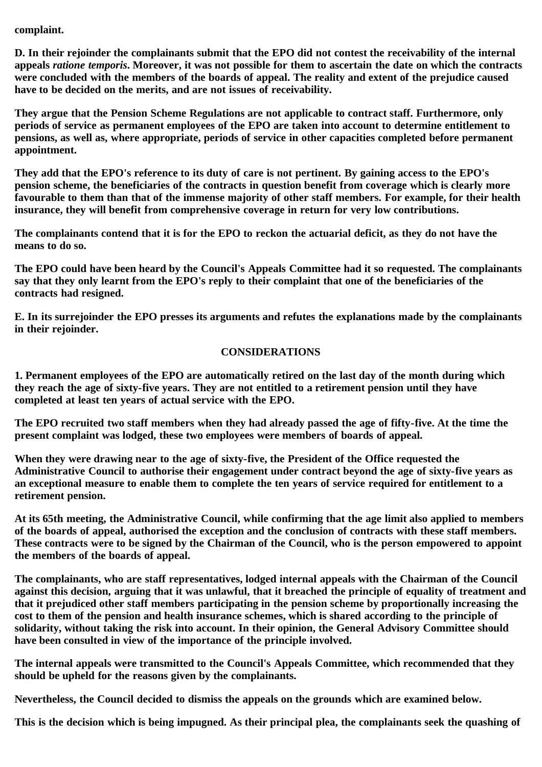**complaint.**

**D. In their rejoinder the complainants submit that the EPO did not contest the receivability of the internal appeals** *ratione temporis***. Moreover, it was not possible for them to ascertain the date on which the contracts were concluded with the members of the boards of appeal. The reality and extent of the prejudice caused have to be decided on the merits, and are not issues of receivability.**

**They argue that the Pension Scheme Regulations are not applicable to contract staff. Furthermore, only periods of service as permanent employees of the EPO are taken into account to determine entitlement to pensions, as well as, where appropriate, periods of service in other capacities completed before permanent appointment.**

**They add that the EPO's reference to its duty of care is not pertinent. By gaining access to the EPO's pension scheme, the beneficiaries of the contracts in question benefit from coverage which is clearly more favourable to them than that of the immense majority of other staff members. For example, for their health insurance, they will benefit from comprehensive coverage in return for very low contributions.**

**The complainants contend that it is for the EPO to reckon the actuarial deficit, as they do not have the means to do so.**

**The EPO could have been heard by the Council's Appeals Committee had it so requested. The complainants say that they only learnt from the EPO's reply to their complaint that one of the beneficiaries of the contracts had resigned.**

**E. In its surrejoinder the EPO presses its arguments and refutes the explanations made by the complainants in their rejoinder.**

## **CONSIDERATIONS**

**1. Permanent employees of the EPO are automatically retired on the last day of the month during which they reach the age of sixty-five years. They are not entitled to a retirement pension until they have completed at least ten years of actual service with the EPO.**

**The EPO recruited two staff members when they had already passed the age of fifty-five. At the time the present complaint was lodged, these two employees were members of boards of appeal.**

**When they were drawing near to the age of sixty-five, the President of the Office requested the Administrative Council to authorise their engagement under contract beyond the age of sixty-five years as an exceptional measure to enable them to complete the ten years of service required for entitlement to a retirement pension.**

**At its 65th meeting, the Administrative Council, while confirming that the age limit also applied to members of the boards of appeal, authorised the exception and the conclusion of contracts with these staff members. These contracts were to be signed by the Chairman of the Council, who is the person empowered to appoint the members of the boards of appeal.**

**The complainants, who are staff representatives, lodged internal appeals with the Chairman of the Council against this decision, arguing that it was unlawful, that it breached the principle of equality of treatment and that it prejudiced other staff members participating in the pension scheme by proportionally increasing the cost to them of the pension and health insurance schemes, which is shared according to the principle of solidarity, without taking the risk into account. In their opinion, the General Advisory Committee should have been consulted in view of the importance of the principle involved.**

**The internal appeals were transmitted to the Council's Appeals Committee, which recommended that they should be upheld for the reasons given by the complainants.**

**Nevertheless, the Council decided to dismiss the appeals on the grounds which are examined below.**

**This is the decision which is being impugned. As their principal plea, the complainants seek the quashing of**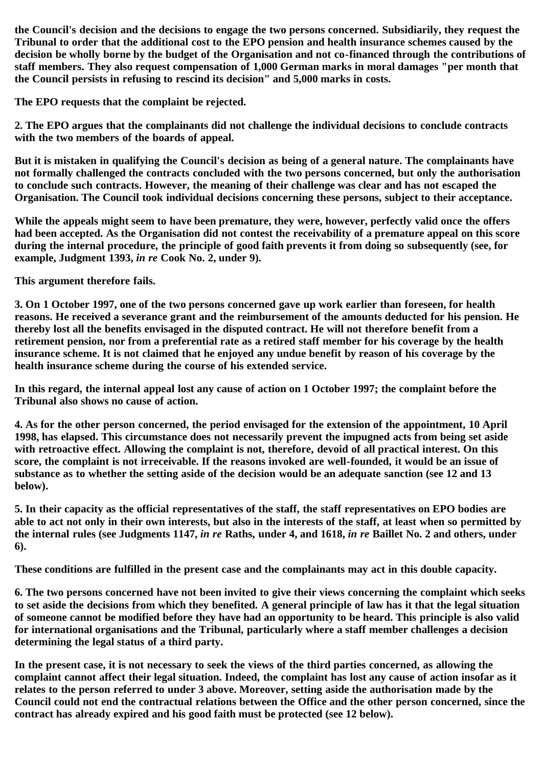**the Council's decision and the decisions to engage the two persons concerned. Subsidiarily, they request the Tribunal to order that the additional cost to the EPO pension and health insurance schemes caused by the decision be wholly borne by the budget of the Organisation and not co-financed through the contributions of staff members. They also request compensation of 1,000 German marks in moral damages "per month that the Council persists in refusing to rescind its decision" and 5,000 marks in costs.**

**The EPO requests that the complaint be rejected.**

**2. The EPO argues that the complainants did not challenge the individual decisions to conclude contracts with the two members of the boards of appeal.**

**But it is mistaken in qualifying the Council's decision as being of a general nature. The complainants have not formally challenged the contracts concluded with the two persons concerned, but only the authorisation to conclude such contracts. However, the meaning of their challenge was clear and has not escaped the Organisation. The Council took individual decisions concerning these persons, subject to their acceptance.**

**While the appeals might seem to have been premature, they were, however, perfectly valid once the offers had been accepted. As the Organisation did not contest the receivability of a premature appeal on this score during the internal procedure, the principle of good faith prevents it from doing so subsequently (see, for example, Judgment 1393,** *in re* **Cook No. 2, under 9).**

**This argument therefore fails.**

**3. On 1 October 1997, one of the two persons concerned gave up work earlier than foreseen, for health reasons. He received a severance grant and the reimbursement of the amounts deducted for his pension. He thereby lost all the benefits envisaged in the disputed contract. He will not therefore benefit from a retirement pension, nor from a preferential rate as a retired staff member for his coverage by the health insurance scheme. It is not claimed that he enjoyed any undue benefit by reason of his coverage by the health insurance scheme during the course of his extended service.**

**In this regard, the internal appeal lost any cause of action on 1 October 1997; the complaint before the Tribunal also shows no cause of action.**

**4. As for the other person concerned, the period envisaged for the extension of the appointment, 10 April 1998, has elapsed. This circumstance does not necessarily prevent the impugned acts from being set aside with retroactive effect. Allowing the complaint is not, therefore, devoid of all practical interest. On this score, the complaint is not irreceivable. If the reasons invoked are well-founded, it would be an issue of substance as to whether the setting aside of the decision would be an adequate sanction (see 12 and 13 below).**

**5. In their capacity as the official representatives of the staff, the staff representatives on EPO bodies are able to act not only in their own interests, but also in the interests of the staff, at least when so permitted by the internal rules (see Judgments 1147,** *in re* **Raths, under 4, and 1618,** *in re* **Baillet No. 2 and others, under 6).**

**These conditions are fulfilled in the present case and the complainants may act in this double capacity.**

**6. The two persons concerned have not been invited to give their views concerning the complaint which seeks to set aside the decisions from which they benefited. A general principle of law has it that the legal situation of someone cannot be modified before they have had an opportunity to be heard. This principle is also valid for international organisations and the Tribunal, particularly where a staff member challenges a decision determining the legal status of a third party.**

**In the present case, it is not necessary to seek the views of the third parties concerned, as allowing the complaint cannot affect their legal situation. Indeed, the complaint has lost any cause of action insofar as it relates to the person referred to under 3 above. Moreover, setting aside the authorisation made by the Council could not end the contractual relations between the Office and the other person concerned, since the contract has already expired and his good faith must be protected (see 12 below).**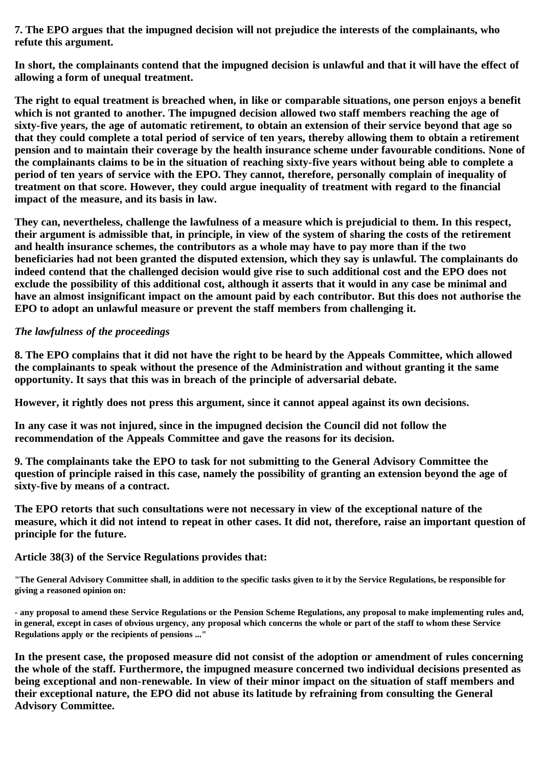**7. The EPO argues that the impugned decision will not prejudice the interests of the complainants, who refute this argument.**

**In short, the complainants contend that the impugned decision is unlawful and that it will have the effect of allowing a form of unequal treatment.**

**The right to equal treatment is breached when, in like or comparable situations, one person enjoys a benefit which is not granted to another. The impugned decision allowed two staff members reaching the age of sixty-five years, the age of automatic retirement, to obtain an extension of their service beyond that age so that they could complete a total period of service of ten years, thereby allowing them to obtain a retirement pension and to maintain their coverage by the health insurance scheme under favourable conditions. None of the complainants claims to be in the situation of reaching sixty-five years without being able to complete a period of ten years of service with the EPO. They cannot, therefore, personally complain of inequality of treatment on that score. However, they could argue inequality of treatment with regard to the financial impact of the measure, and its basis in law.**

**They can, nevertheless, challenge the lawfulness of a measure which is prejudicial to them. In this respect, their argument is admissible that, in principle, in view of the system of sharing the costs of the retirement and health insurance schemes, the contributors as a whole may have to pay more than if the two beneficiaries had not been granted the disputed extension, which they say is unlawful. The complainants do indeed contend that the challenged decision would give rise to such additional cost and the EPO does not exclude the possibility of this additional cost, although it asserts that it would in any case be minimal and have an almost insignificant impact on the amount paid by each contributor. But this does not authorise the EPO to adopt an unlawful measure or prevent the staff members from challenging it.**

## *The lawfulness of the proceedings*

**8. The EPO complains that it did not have the right to be heard by the Appeals Committee, which allowed the complainants to speak without the presence of the Administration and without granting it the same opportunity. It says that this was in breach of the principle of adversarial debate.**

**However, it rightly does not press this argument, since it cannot appeal against its own decisions.**

**In any case it was not injured, since in the impugned decision the Council did not follow the recommendation of the Appeals Committee and gave the reasons for its decision.**

**9. The complainants take the EPO to task for not submitting to the General Advisory Committee the question of principle raised in this case, namely the possibility of granting an extension beyond the age of sixty-five by means of a contract.**

**The EPO retorts that such consultations were not necessary in view of the exceptional nature of the measure, which it did not intend to repeat in other cases. It did not, therefore, raise an important question of principle for the future.**

**Article 38(3) of the Service Regulations provides that:**

**"The General Advisory Committee shall, in addition to the specific tasks given to it by the Service Regulations, be responsible for giving a reasoned opinion on:**

**- any proposal to amend these Service Regulations or the Pension Scheme Regulations, any proposal to make implementing rules and, in general, except in cases of obvious urgency, any proposal which concerns the whole or part of the staff to whom these Service Regulations apply or the recipients of pensions ..."**

**In the present case, the proposed measure did not consist of the adoption or amendment of rules concerning the whole of the staff. Furthermore, the impugned measure concerned two individual decisions presented as being exceptional and non-renewable. In view of their minor impact on the situation of staff members and their exceptional nature, the EPO did not abuse its latitude by refraining from consulting the General Advisory Committee.**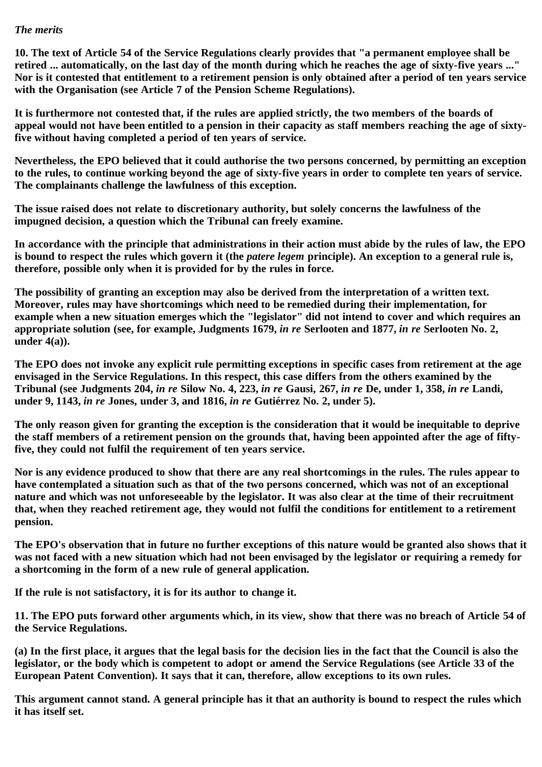#### *The merits*

**10. The text of Article 54 of the Service Regulations clearly provides that "a permanent employee shall be retired ... automatically, on the last day of the month during which he reaches the age of sixty-five years ..." Nor is it contested that entitlement to a retirement pension is only obtained after a period of ten years service with the Organisation (see Article 7 of the Pension Scheme Regulations).**

**It is furthermore not contested that, if the rules are applied strictly, the two members of the boards of appeal would not have been entitled to a pension in their capacity as staff members reaching the age of sixtyfive without having completed a period of ten years of service.**

**Nevertheless, the EPO believed that it could authorise the two persons concerned, by permitting an exception to the rules, to continue working beyond the age of sixty-five years in order to complete ten years of service. The complainants challenge the lawfulness of this exception.**

**The issue raised does not relate to discretionary authority, but solely concerns the lawfulness of the impugned decision, a question which the Tribunal can freely examine.**

**In accordance with the principle that administrations in their action must abide by the rules of law, the EPO is bound to respect the rules which govern it (the** *patere legem* **principle). An exception to a general rule is, therefore, possible only when it is provided for by the rules in force.**

**The possibility of granting an exception may also be derived from the interpretation of a written text. Moreover, rules may have shortcomings which need to be remedied during their implementation, for example when a new situation emerges which the "legislator" did not intend to cover and which requires an appropriate solution (see, for example, Judgments 1679,** *in re* **Serlooten and 1877,** *in re* **Serlooten No. 2, under 4(a)).**

**The EPO does not invoke any explicit rule permitting exceptions in specific cases from retirement at the age envisaged in the Service Regulations. In this respect, this case differs from the others examined by the Tribunal (see Judgments 204,** *in re* **Silow No. 4, 223,** *in re* **Gausi, 267,** *in re* **De, under 1, 358,** *in re* **Landi, under 9, 1143,** *in re* **Jones, under 3, and 1816,** *in re* **Gutiérrez No. 2, under 5).**

**The only reason given for granting the exception is the consideration that it would be inequitable to deprive the staff members of a retirement pension on the grounds that, having been appointed after the age of fiftyfive, they could not fulfil the requirement of ten years service.**

**Nor is any evidence produced to show that there are any real shortcomings in the rules. The rules appear to have contemplated a situation such as that of the two persons concerned, which was not of an exceptional nature and which was not unforeseeable by the legislator. It was also clear at the time of their recruitment that, when they reached retirement age, they would not fulfil the conditions for entitlement to a retirement pension.**

**The EPO's observation that in future no further exceptions of this nature would be granted also shows that it was not faced with a new situation which had not been envisaged by the legislator or requiring a remedy for a shortcoming in the form of a new rule of general application.**

**If the rule is not satisfactory, it is for its author to change it.**

**11. The EPO puts forward other arguments which, in its view, show that there was no breach of Article 54 of the Service Regulations.**

**(a) In the first place, it argues that the legal basis for the decision lies in the fact that the Council is also the legislator, or the body which is competent to adopt or amend the Service Regulations (see Article 33 of the European Patent Convention). It says that it can, therefore, allow exceptions to its own rules.**

**This argument cannot stand. A general principle has it that an authority is bound to respect the rules which it has itself set.**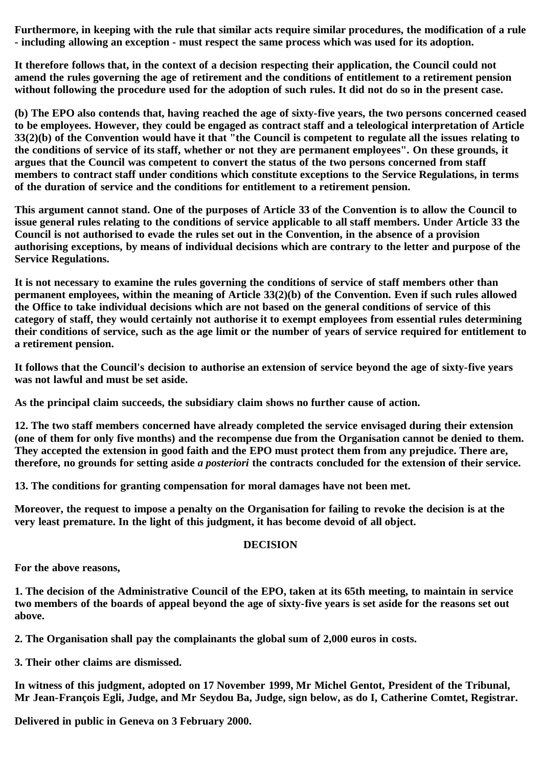**Furthermore, in keeping with the rule that similar acts require similar procedures, the modification of a rule - including allowing an exception - must respect the same process which was used for its adoption.**

**It therefore follows that, in the context of a decision respecting their application, the Council could not amend the rules governing the age of retirement and the conditions of entitlement to a retirement pension without following the procedure used for the adoption of such rules. It did not do so in the present case.**

**(b) The EPO also contends that, having reached the age of sixty-five years, the two persons concerned ceased to be employees. However, they could be engaged as contract staff and a teleological interpretation of Article 33(2)(b) of the Convention would have it that "the Council is competent to regulate all the issues relating to the conditions of service of its staff, whether or not they are permanent employees". On these grounds, it argues that the Council was competent to convert the status of the two persons concerned from staff members to contract staff under conditions which constitute exceptions to the Service Regulations, in terms of the duration of service and the conditions for entitlement to a retirement pension.**

**This argument cannot stand. One of the purposes of Article 33 of the Convention is to allow the Council to issue general rules relating to the conditions of service applicable to all staff members. Under Article 33 the Council is not authorised to evade the rules set out in the Convention, in the absence of a provision authorising exceptions, by means of individual decisions which are contrary to the letter and purpose of the Service Regulations.**

**It is not necessary to examine the rules governing the conditions of service of staff members other than permanent employees, within the meaning of Article 33(2)(b) of the Convention. Even if such rules allowed the Office to take individual decisions which are not based on the general conditions of service of this category of staff, they would certainly not authorise it to exempt employees from essential rules determining their conditions of service, such as the age limit or the number of years of service required for entitlement to a retirement pension.**

**It follows that the Council's decision to authorise an extension of service beyond the age of sixty-five years was not lawful and must be set aside.**

**As the principal claim succeeds, the subsidiary claim shows no further cause of action.**

**12. The two staff members concerned have already completed the service envisaged during their extension (one of them for only five months) and the recompense due from the Organisation cannot be denied to them. They accepted the extension in good faith and the EPO must protect them from any prejudice. There are, therefore, no grounds for setting aside** *a posteriori* **the contracts concluded for the extension of their service.**

**13. The conditions for granting compensation for moral damages have not been met.**

**Moreover, the request to impose a penalty on the Organisation for failing to revoke the decision is at the very least premature. In the light of this judgment, it has become devoid of all object.**

#### **DECISION**

**For the above reasons,**

**1. The decision of the Administrative Council of the EPO, taken at its 65th meeting, to maintain in service two members of the boards of appeal beyond the age of sixty-five years is set aside for the reasons set out above.**

**2. The Organisation shall pay the complainants the global sum of 2,000 euros in costs.**

**3. Their other claims are dismissed.**

**In witness of this judgment, adopted on 17 November 1999, Mr Michel Gentot, President of the Tribunal, Mr Jean-François Egli, Judge, and Mr Seydou Ba, Judge, sign below, as do I, Catherine Comtet, Registrar.**

**Delivered in public in Geneva on 3 February 2000.**